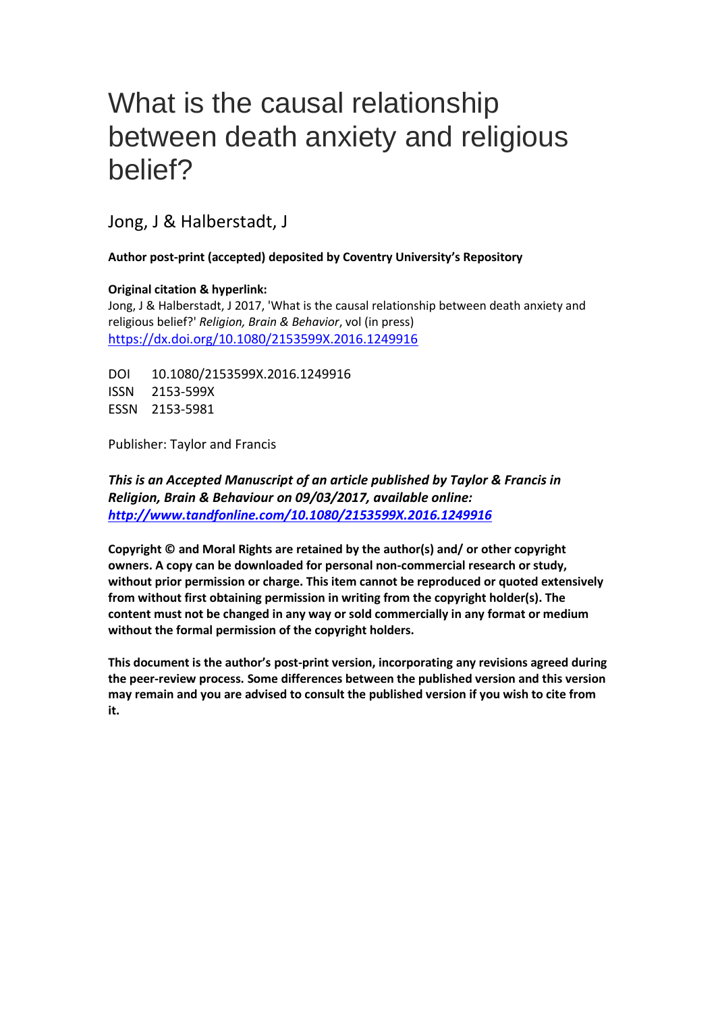# What is the causal relationship between death anxiety and religious belief?

Jong, J & Halberstadt, J

**Author post-print (accepted) deposited by Coventry University's Repository**

**Original citation & hyperlink:**

Jong, J & Halberstadt, J 2017, 'What is the causal relationship between death anxiety and religious belief?' *Religion, Brain & Behavior*, vol (in press) <https://dx.doi.org/10.1080/2153599X.2016.1249916>

DOI 10.1080/2153599X.2016.1249916 ISSN 2153-599X ESSN 2153-5981

Publisher: Taylor and Francis

*This is an Accepted Manuscript of an article published by Taylor & Francis in Religion, Brain & Behaviour on 09/03/2017, available online: [http://www.tandfonline.com/10.1080/2153599X.2016.1249916](http://www.tandfonline.com/10.1080/0267257X.2014.951384)*

**Copyright © and Moral Rights are retained by the author(s) and/ or other copyright owners. A copy can be downloaded for personal non-commercial research or study, without prior permission or charge. This item cannot be reproduced or quoted extensively from without first obtaining permission in writing from the copyright holder(s). The content must not be changed in any way or sold commercially in any format or medium without the formal permission of the copyright holders.** 

**This document is the author's post-print version, incorporating any revisions agreed during the peer-review process. Some differences between the published version and this version may remain and you are advised to consult the published version if you wish to cite from it.**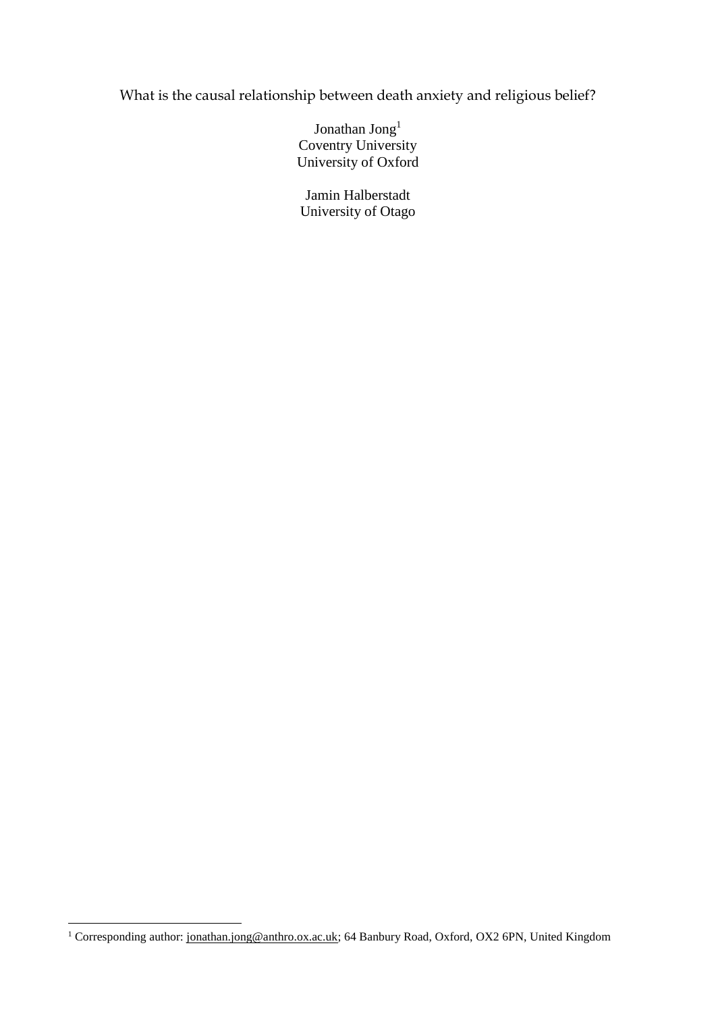What is the causal relationship between death anxiety and religious belief?

Jonathan Jong<sup>1</sup> Coventry University University of Oxford

Jamin Halberstadt University of Otago

1

<sup>&</sup>lt;sup>1</sup> Corresponding author: [jonathan.jong@anthro.ox.ac.uk;](mailto:jonathan.jong@anthro.ox.ac.uk) 64 Banbury Road, Oxford, OX2 6PN, United Kingdom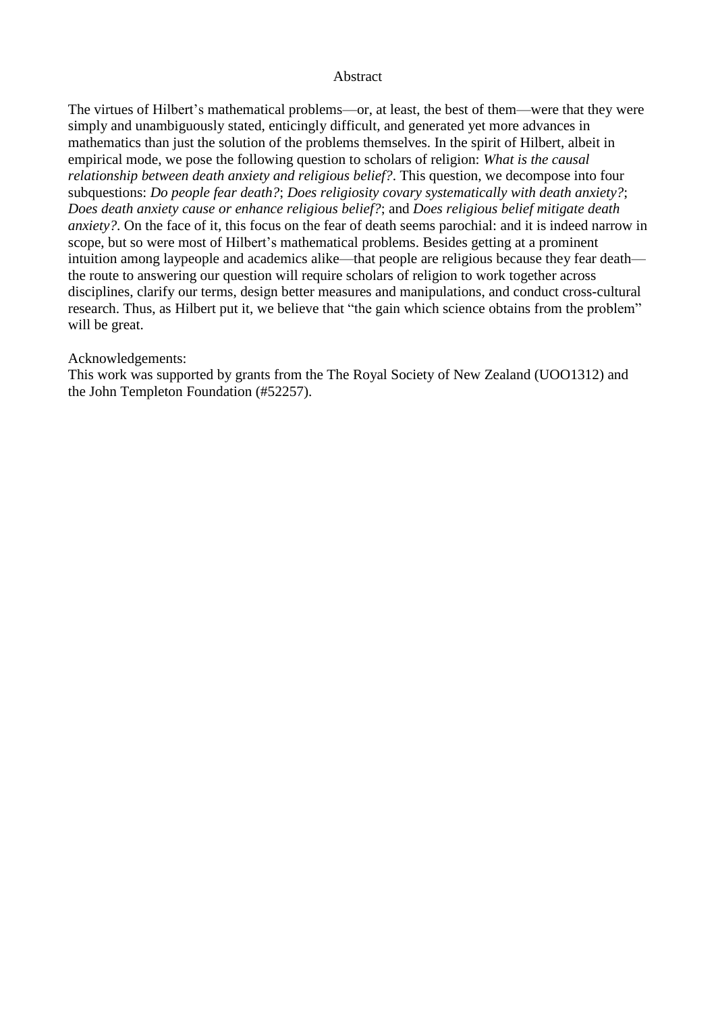#### **Abstract**

The virtues of Hilbert's mathematical problems—or, at least, the best of them—were that they were simply and unambiguously stated, enticingly difficult, and generated yet more advances in mathematics than just the solution of the problems themselves. In the spirit of Hilbert, albeit in empirical mode, we pose the following question to scholars of religion: *What is the causal relationship between death anxiety and religious belief?*. This question, we decompose into four subquestions: *Do people fear death?*; *Does religiosity covary systematically with death anxiety?*; *Does death anxiety cause or enhance religious belief?*; and *Does religious belief mitigate death anxiety?*. On the face of it, this focus on the fear of death seems parochial: and it is indeed narrow in scope, but so were most of Hilbert's mathematical problems. Besides getting at a prominent intuition among laypeople and academics alike—that people are religious because they fear death the route to answering our question will require scholars of religion to work together across disciplines, clarify our terms, design better measures and manipulations, and conduct cross-cultural research. Thus, as Hilbert put it, we believe that "the gain which science obtains from the problem" will be great.

#### Acknowledgements:

This work was supported by grants from the The Royal Society of New Zealand (UOO1312) and the John Templeton Foundation (#52257).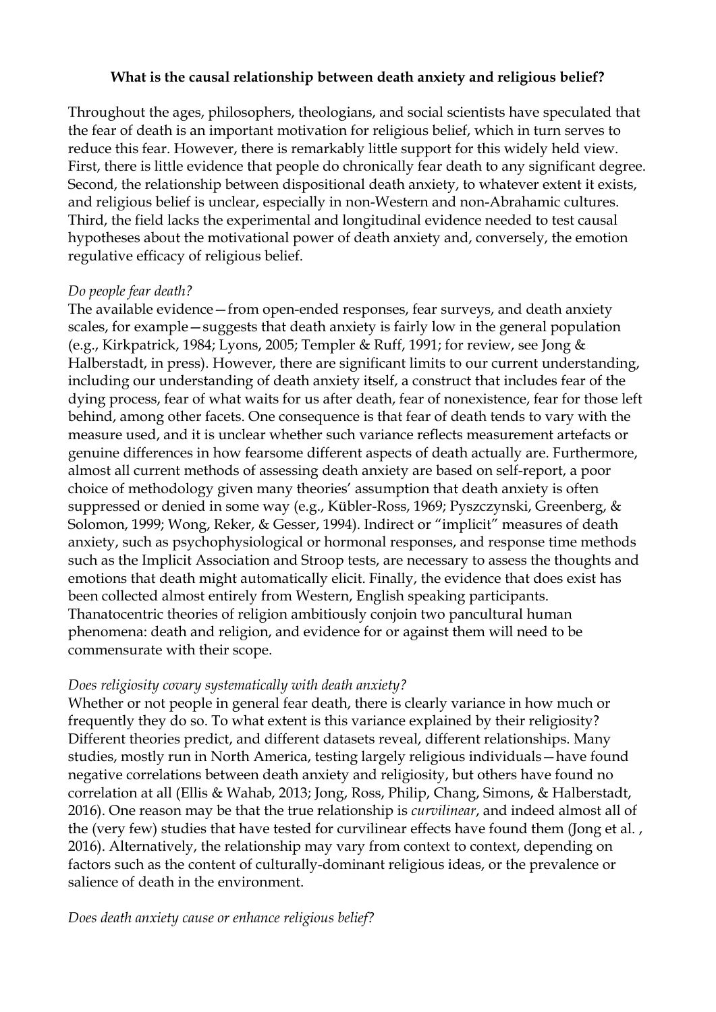## **What is the causal relationship between death anxiety and religious belief?**

Throughout the ages, philosophers, theologians, and social scientists have speculated that the fear of death is an important motivation for religious belief, which in turn serves to reduce this fear. However, there is remarkably little support for this widely held view. First, there is little evidence that people do chronically fear death to any significant degree. Second, the relationship between dispositional death anxiety, to whatever extent it exists, and religious belief is unclear, especially in non-Western and non-Abrahamic cultures. Third, the field lacks the experimental and longitudinal evidence needed to test causal hypotheses about the motivational power of death anxiety and, conversely, the emotion regulative efficacy of religious belief.

## *Do people fear death?*

The available evidence—from open-ended responses, fear surveys, and death anxiety scales, for example—suggests that death anxiety is fairly low in the general population (e.g., Kirkpatrick, 1984; Lyons, 2005; Templer & Ruff, 1991; for review, see Jong & Halberstadt, in press). However, there are significant limits to our current understanding, including our understanding of death anxiety itself, a construct that includes fear of the dying process, fear of what waits for us after death, fear of nonexistence, fear for those left behind, among other facets. One consequence is that fear of death tends to vary with the measure used, and it is unclear whether such variance reflects measurement artefacts or genuine differences in how fearsome different aspects of death actually are. Furthermore, almost all current methods of assessing death anxiety are based on self-report, a poor choice of methodology given many theories' assumption that death anxiety is often suppressed or denied in some way (e.g., Kübler-Ross, 1969; Pyszczynski, Greenberg, & Solomon, 1999; Wong, Reker, & Gesser, 1994). Indirect or "implicit" measures of death anxiety, such as psychophysiological or hormonal responses, and response time methods such as the Implicit Association and Stroop tests, are necessary to assess the thoughts and emotions that death might automatically elicit. Finally, the evidence that does exist has been collected almost entirely from Western, English speaking participants. Thanatocentric theories of religion ambitiously conjoin two pancultural human phenomena: death and religion, and evidence for or against them will need to be commensurate with their scope.

# *Does religiosity covary systematically with death anxiety?*

Whether or not people in general fear death, there is clearly variance in how much or frequently they do so. To what extent is this variance explained by their religiosity? Different theories predict, and different datasets reveal, different relationships. Many studies, mostly run in North America, testing largely religious individuals—have found negative correlations between death anxiety and religiosity, but others have found no correlation at all (Ellis & Wahab, 2013; Jong, Ross, Philip, Chang, Simons, & Halberstadt, 2016). One reason may be that the true relationship is *curvilinear*, and indeed almost all of the (very few) studies that have tested for curvilinear effects have found them (Jong et al., 2016). Alternatively, the relationship may vary from context to context, depending on factors such as the content of culturally-dominant religious ideas, or the prevalence or salience of death in the environment.

### *Does death anxiety cause or enhance religious belief?*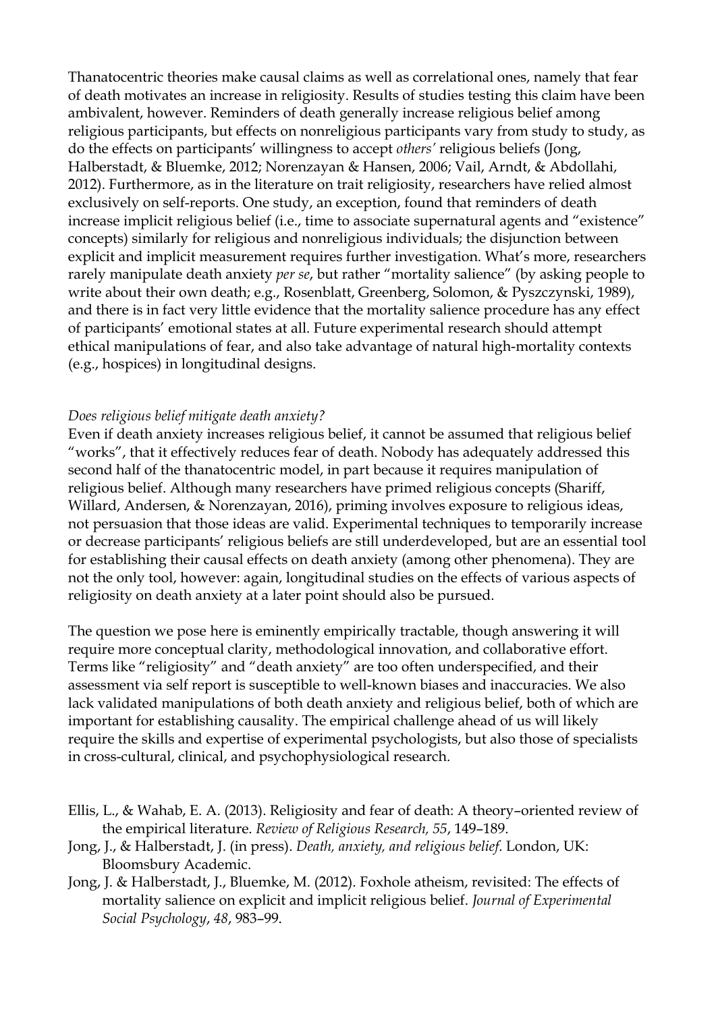Thanatocentric theories make causal claims as well as correlational ones, namely that fear of death motivates an increase in religiosity. Results of studies testing this claim have been ambivalent, however. Reminders of death generally increase religious belief among religious participants, but effects on nonreligious participants vary from study to study, as do the effects on participants' willingness to accept *others'* religious beliefs (Jong, Halberstadt, & Bluemke, 2012; Norenzayan & Hansen, 2006; Vail, Arndt, & Abdollahi, 2012). Furthermore, as in the literature on trait religiosity, researchers have relied almost exclusively on self-reports. One study, an exception, found that reminders of death increase implicit religious belief (i.e., time to associate supernatural agents and "existence" concepts) similarly for religious and nonreligious individuals; the disjunction between explicit and implicit measurement requires further investigation. What's more, researchers rarely manipulate death anxiety *per se*, but rather "mortality salience" (by asking people to write about their own death; e.g., Rosenblatt, Greenberg, Solomon, & Pyszczynski, 1989), and there is in fact very little evidence that the mortality salience procedure has any effect of participants' emotional states at all. Future experimental research should attempt ethical manipulations of fear, and also take advantage of natural high-mortality contexts (e.g., hospices) in longitudinal designs.

### *Does religious belief mitigate death anxiety?*

Even if death anxiety increases religious belief, it cannot be assumed that religious belief "works", that it effectively reduces fear of death. Nobody has adequately addressed this second half of the thanatocentric model, in part because it requires manipulation of religious belief. Although many researchers have primed religious concepts (Shariff, Willard, Andersen, & Norenzayan, 2016), priming involves exposure to religious ideas, not persuasion that those ideas are valid. Experimental techniques to temporarily increase or decrease participants' religious beliefs are still underdeveloped, but are an essential tool for establishing their causal effects on death anxiety (among other phenomena). They are not the only tool, however: again, longitudinal studies on the effects of various aspects of religiosity on death anxiety at a later point should also be pursued.

The question we pose here is eminently empirically tractable, though answering it will require more conceptual clarity, methodological innovation, and collaborative effort. Terms like "religiosity" and "death anxiety" are too often underspecified, and their assessment via self report is susceptible to well-known biases and inaccuracies. We also lack validated manipulations of both death anxiety and religious belief, both of which are important for establishing causality. The empirical challenge ahead of us will likely require the skills and expertise of experimental psychologists, but also those of specialists in cross-cultural, clinical, and psychophysiological research.

- Ellis, L., & Wahab, E. A. (2013). Religiosity and fear of death: A theory–oriented review of the empirical literature. *Review of Religious Research, 55*, 149–189.
- Jong, J., & Halberstadt, J. (in press). *Death, anxiety, and religious belief*. London, UK: Bloomsbury Academic.
- Jong, J. & Halberstadt, J., Bluemke, M. (2012). Foxhole atheism, revisited: The effects of mortality salience on explicit and implicit religious belief. *Journal of Experimental Social Psychology*, *48*, 983–99.